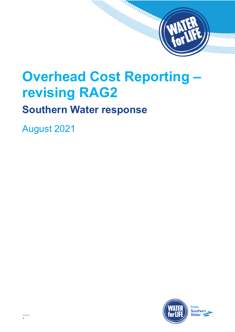# **Overhead Cost Reporting – revising RAG2**

**SAMARA SANTA** 

## **Southern Water response**

August 2021